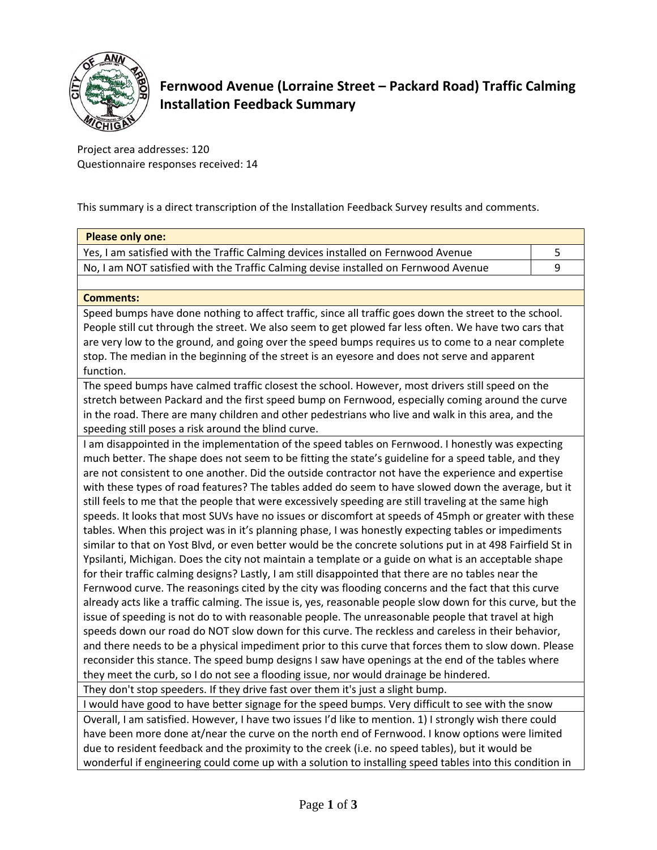

## **Fernwood Avenue (Lorraine Street – Packard Road) Traffic Calming Installation Feedback Summary**

Project area addresses: 120 Questionnaire responses received: 14

This summary is a direct transcription of the Installation Feedback Survey results and comments.

| <b>Please only one:</b>                                                                                                                                                                                      |   |  |  |  |
|--------------------------------------------------------------------------------------------------------------------------------------------------------------------------------------------------------------|---|--|--|--|
| Yes, I am satisfied with the Traffic Calming devices installed on Fernwood Avenue                                                                                                                            |   |  |  |  |
| No, I am NOT satisfied with the Traffic Calming devise installed on Fernwood Avenue                                                                                                                          | 9 |  |  |  |
|                                                                                                                                                                                                              |   |  |  |  |
| <b>Comments:</b>                                                                                                                                                                                             |   |  |  |  |
| Speed bumps have done nothing to affect traffic, since all traffic goes down the street to the school.                                                                                                       |   |  |  |  |
| People still cut through the street. We also seem to get plowed far less often. We have two cars that                                                                                                        |   |  |  |  |
| are very low to the ground, and going over the speed bumps requires us to come to a near complete                                                                                                            |   |  |  |  |
| stop. The median in the beginning of the street is an eyesore and does not serve and apparent<br>function.                                                                                                   |   |  |  |  |
| The speed bumps have calmed traffic closest the school. However, most drivers still speed on the                                                                                                             |   |  |  |  |
| stretch between Packard and the first speed bump on Fernwood, especially coming around the curve                                                                                                             |   |  |  |  |
| in the road. There are many children and other pedestrians who live and walk in this area, and the                                                                                                           |   |  |  |  |
| speeding still poses a risk around the blind curve.                                                                                                                                                          |   |  |  |  |
| I am disappointed in the implementation of the speed tables on Fernwood. I honestly was expecting                                                                                                            |   |  |  |  |
| much better. The shape does not seem to be fitting the state's guideline for a speed table, and they                                                                                                         |   |  |  |  |
| are not consistent to one another. Did the outside contractor not have the experience and expertise                                                                                                          |   |  |  |  |
| with these types of road features? The tables added do seem to have slowed down the average, but it                                                                                                          |   |  |  |  |
| still feels to me that the people that were excessively speeding are still traveling at the same high                                                                                                        |   |  |  |  |
| speeds. It looks that most SUVs have no issues or discomfort at speeds of 45mph or greater with these                                                                                                        |   |  |  |  |
| tables. When this project was in it's planning phase, I was honestly expecting tables or impediments                                                                                                         |   |  |  |  |
| similar to that on Yost Blvd, or even better would be the concrete solutions put in at 498 Fairfield St in                                                                                                   |   |  |  |  |
| Ypsilanti, Michigan. Does the city not maintain a template or a guide on what is an acceptable shape<br>for their traffic calming designs? Lastly, I am still disappointed that there are no tables near the |   |  |  |  |
| Fernwood curve. The reasonings cited by the city was flooding concerns and the fact that this curve                                                                                                          |   |  |  |  |
| already acts like a traffic calming. The issue is, yes, reasonable people slow down for this curve, but the                                                                                                  |   |  |  |  |
| issue of speeding is not do to with reasonable people. The unreasonable people that travel at high                                                                                                           |   |  |  |  |
| speeds down our road do NOT slow down for this curve. The reckless and careless in their behavior,                                                                                                           |   |  |  |  |
| and there needs to be a physical impediment prior to this curve that forces them to slow down. Please                                                                                                        |   |  |  |  |
| reconsider this stance. The speed bump designs I saw have openings at the end of the tables where                                                                                                            |   |  |  |  |
| they meet the curb, so I do not see a flooding issue, nor would drainage be hindered.                                                                                                                        |   |  |  |  |
| They don't stop speeders. If they drive fast over them it's just a slight bump.                                                                                                                              |   |  |  |  |
| I would have good to have better signage for the speed bumps. Very difficult to see with the snow                                                                                                            |   |  |  |  |

Overall, I am satisfied. However, I have two issues I'd like to mention. 1) I strongly wish there could have been more done at/near the curve on the north end of Fernwood. I know options were limited due to resident feedback and the proximity to the creek (i.e. no speed tables), but it would be wonderful if engineering could come up with a solution to installing speed tables into this condition in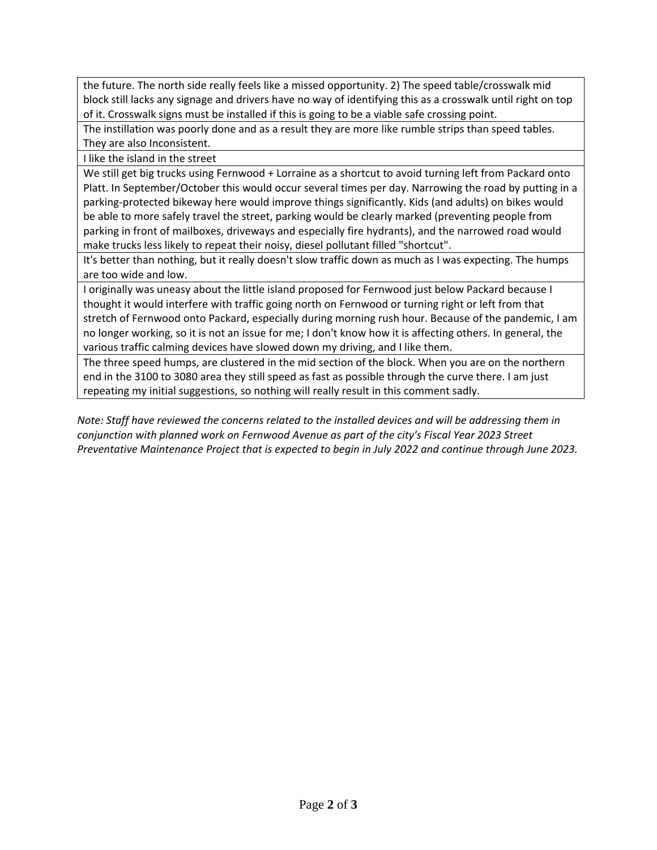the future. The north side really feels like a missed opportunity. 2) The speed table/crosswalk mid block still lacks any signage and drivers have no way of identifying this as a crosswalk until right on top of it. Crosswalk signs must be installed if this is going to be a viable safe crossing point.

The instillation was poorly done and as a result they are more like rumble strips than speed tables. They are also Inconsistent.

I like the island in the street

We still get big trucks using Fernwood + Lorraine as a shortcut to avoid turning left from Packard onto Platt. In September/October this would occur several times per day. Narrowing the road by putting in a parking-protected bikeway here would improve things significantly. Kids (and adults) on bikes would be able to more safely travel the street, parking would be clearly marked (preventing people from parking in front of mailboxes, driveways and especially fire hydrants), and the narrowed road would make trucks less likely to repeat their noisy, diesel pollutant filled "shortcut".

It's better than nothing, but it really doesn't slow traffic down as much as I was expecting. The humps are too wide and low.

I originally was uneasy about the little island proposed for Fernwood just below Packard because I thought it would interfere with traffic going north on Fernwood or turning right or left from that stretch of Fernwood onto Packard, especially during morning rush hour. Because of the pandemic, I am no longer working, so it is not an issue for me; I don't know how it is affecting others. In general, the various traffic calming devices have slowed down my driving, and I like them.

The three speed humps, are clustered in the mid section of the block. When you are on the northern end in the 3100 to 3080 area they still speed as fast as possible through the curve there. I am just repeating my initial suggestions, so nothing will really result in this comment sadly.

*Note: Staff have reviewed the concerns related to the installed devices and will be addressing them in conjunction with planned work on Fernwood Avenue as part of the city's Fiscal Year 2023 Street Preventative Maintenance Project that is expected to begin in July 2022 and continue through June 2023.*